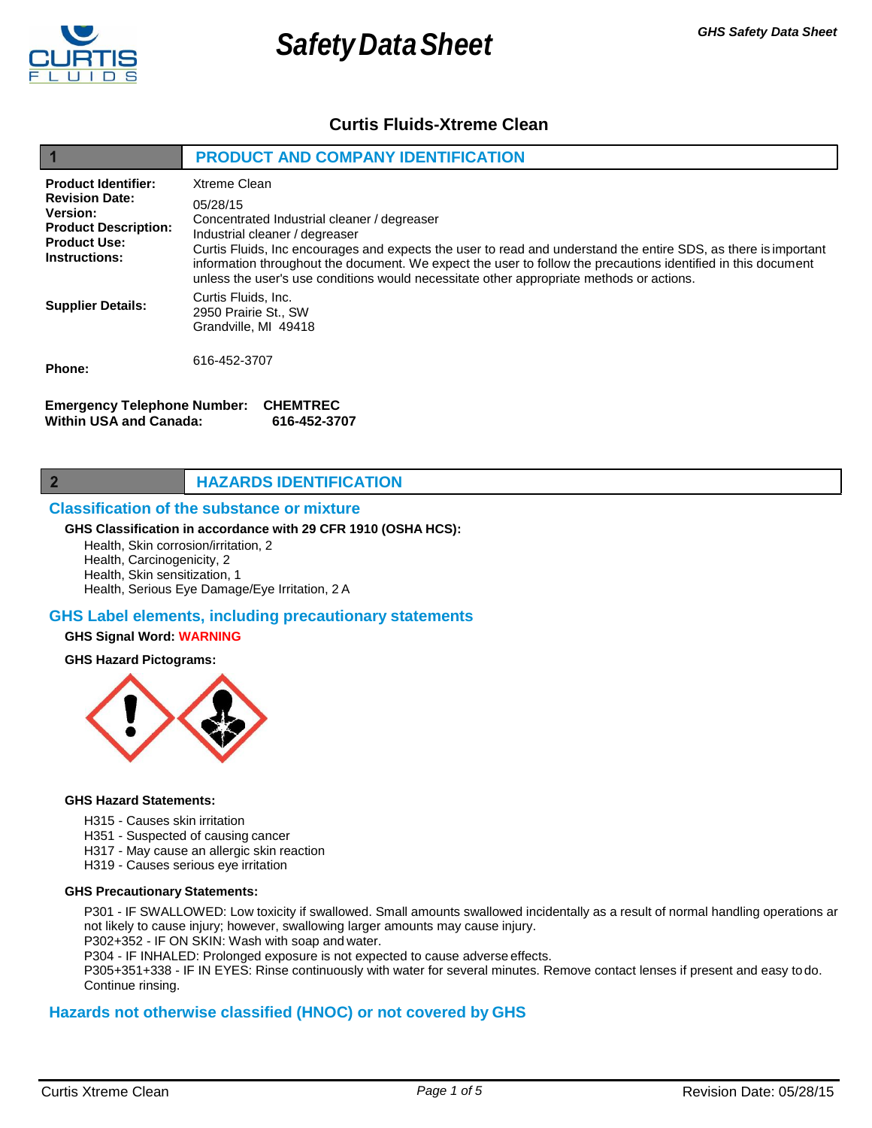

 $\overline{2}$ 

# **Safety Data Sheet** *GHS Safety Data Sheet*

# **Curtis Fluids-Xtreme Clean**

|                                                                                                                                               | <b>PRODUCT AND COMPANY IDENTIFICATION</b>                                                                                                                                                                                                                                                                                                                                                                                                 |  |  |  |
|-----------------------------------------------------------------------------------------------------------------------------------------------|-------------------------------------------------------------------------------------------------------------------------------------------------------------------------------------------------------------------------------------------------------------------------------------------------------------------------------------------------------------------------------------------------------------------------------------------|--|--|--|
| <b>Product Identifier:</b><br><b>Revision Date:</b><br>Version:<br><b>Product Description:</b><br><b>Product Use:</b><br><b>Instructions:</b> | Xtreme Clean<br>05/28/15<br>Concentrated Industrial cleaner / degreaser<br>Industrial cleaner / degreaser<br>Curtis Fluids, Inc encourages and expects the user to read and understand the entire SDS, as there is important<br>information throughout the document. We expect the user to follow the precautions identified in this document<br>unless the user's use conditions would necessitate other appropriate methods or actions. |  |  |  |
| <b>Supplier Details:</b>                                                                                                                      | Curtis Fluids, Inc.<br>2950 Prairie St., SW<br>Grandville, MI 49418                                                                                                                                                                                                                                                                                                                                                                       |  |  |  |
| Phone:                                                                                                                                        | 616-452-3707                                                                                                                                                                                                                                                                                                                                                                                                                              |  |  |  |
| <b>Emergency Telephone Number:</b><br><b>CHEMTREC</b><br>Within USA and Canada:<br>616-452-3707                                               |                                                                                                                                                                                                                                                                                                                                                                                                                                           |  |  |  |

# **HAZARDS IDENTIFICATION**

#### **Classification of the substance or mixture**

#### **GHS Classification in accordance with 29 CFR 1910 (OSHA HCS):**

Health, Skin corrosion/irritation, 2 Health, Carcinogenicity, 2 Health, Skin sensitization, 1 Health, Serious Eye Damage/Eye Irritation, 2 A

#### **GHS Label elements, including precautionary statements**

#### **GHS Signal Word: WARNING**

**GHS Hazard Pictograms:**



#### **GHS Hazard Statements:**

- H315 Causes skin irritation
- H351 Suspected of causing cancer
- H317 May cause an allergic skin reaction
- H319 Causes serious eye irritation

#### **GHS Precautionary Statements:**

P301 - IF SWALLOWED: Low toxicity if swallowed. Small amounts swallowed incidentally as a result of normal handling operations ar not likely to cause injury; however, swallowing larger amounts may cause injury.

P302+352 - IF ON SKIN: Wash with soap and water.

P304 - IF INHALED: Prolonged exposure is not expected to cause adverse effects.

P305+351+338 - IF IN EYES: Rinse continuously with water for several minutes. Remove contact lenses if present and easy todo. Continue rinsing.

#### **Hazards not otherwise classified (HNOC) or not covered by GHS**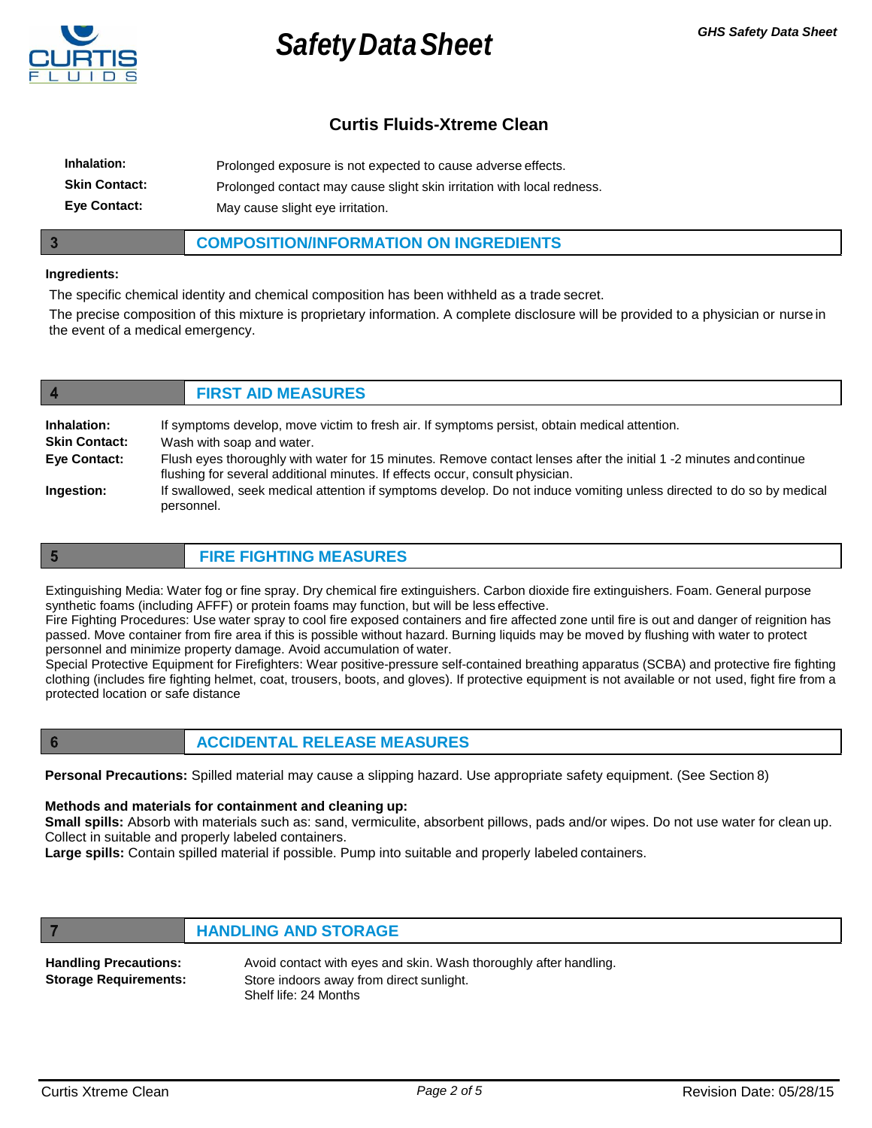

# **Curtis Fluids-Xtreme Clean**

| Inhalation:          | Prolonged exposure is not expected to cause adverse effects.           |
|----------------------|------------------------------------------------------------------------|
| <b>Skin Contact:</b> | Prolonged contact may cause slight skin irritation with local redness. |
| <b>Eve Contact:</b>  | May cause slight eye irritation.                                       |

#### **COMPOSITION/INFORMATION ON INGREDIENTS**

#### **Ingredients:**

 $\overline{\mathbf{3}}$ 

The specific chemical identity and chemical composition has been withheld as a trade secret.

The precise composition of this mixture is proprietary information. A complete disclosure will be provided to a physician or nurse in the event of a medical emergency.

| $\overline{4}$       | <b>FIRST AID MEASURES</b>                                                                                                                                                                           |  |
|----------------------|-----------------------------------------------------------------------------------------------------------------------------------------------------------------------------------------------------|--|
| Inhalation:          | If symptoms develop, move victim to fresh air. If symptoms persist, obtain medical attention.                                                                                                       |  |
| <b>Skin Contact:</b> | Wash with soap and water.                                                                                                                                                                           |  |
| Eye Contact:         | Flush eyes thoroughly with water for 15 minutes. Remove contact lenses after the initial 1 -2 minutes and continue<br>flushing for several additional minutes. If effects occur, consult physician. |  |
| Ingestion:           | If swallowed, seek medical attention if symptoms develop. Do not induce vomiting unless directed to do so by medical<br>personnel.                                                                  |  |

 $5\phantom{1}$ 

### **FIRE FIGHTING MEASURES**

Extinguishing Media: Water fog or fine spray. Dry chemical fire extinguishers. Carbon dioxide fire extinguishers. Foam. General purpose synthetic foams (including AFFF) or protein foams may function, but will be less effective.

Fire Fighting Procedures: Use water spray to cool fire exposed containers and fire affected zone until fire is out and danger of reignition has passed. Move container from fire area if this is possible without hazard. Burning liquids may be moved by flushing with water to protect personnel and minimize property damage. Avoid accumulation of water.

Special Protective Equipment for Firefighters: Wear positive-pressure self-contained breathing apparatus (SCBA) and protective fire fighting clothing (includes fire fighting helmet, coat, trousers, boots, and gloves). If protective equipment is not available or not used, fight fire from a protected location or safe distance

 $6\phantom{1}6$ 

7

## **ACCIDENTAL RELEASE MEASURES**

**Personal Precautions:** Spilled material may cause a slipping hazard. Use appropriate safety equipment. (See Section 8)

#### **Methods and materials for containment and cleaning up:**

**Small spills:** Absorb with materials such as: sand, vermiculite, absorbent pillows, pads and/or wipes. Do not use water for clean up. Collect in suitable and properly labeled containers.

**Large spills:** Contain spilled material if possible. Pump into suitable and properly labeled containers.

## **HANDLING AND STORAGE**

| <b>Handling Precautions:</b> | Avoid contact with eyes and skin. Wash thoroughly after handling. |
|------------------------------|-------------------------------------------------------------------|
| <b>Storage Requirements:</b> | Store indoors away from direct sunlight.                          |
|                              | Shelf life: 24 Months                                             |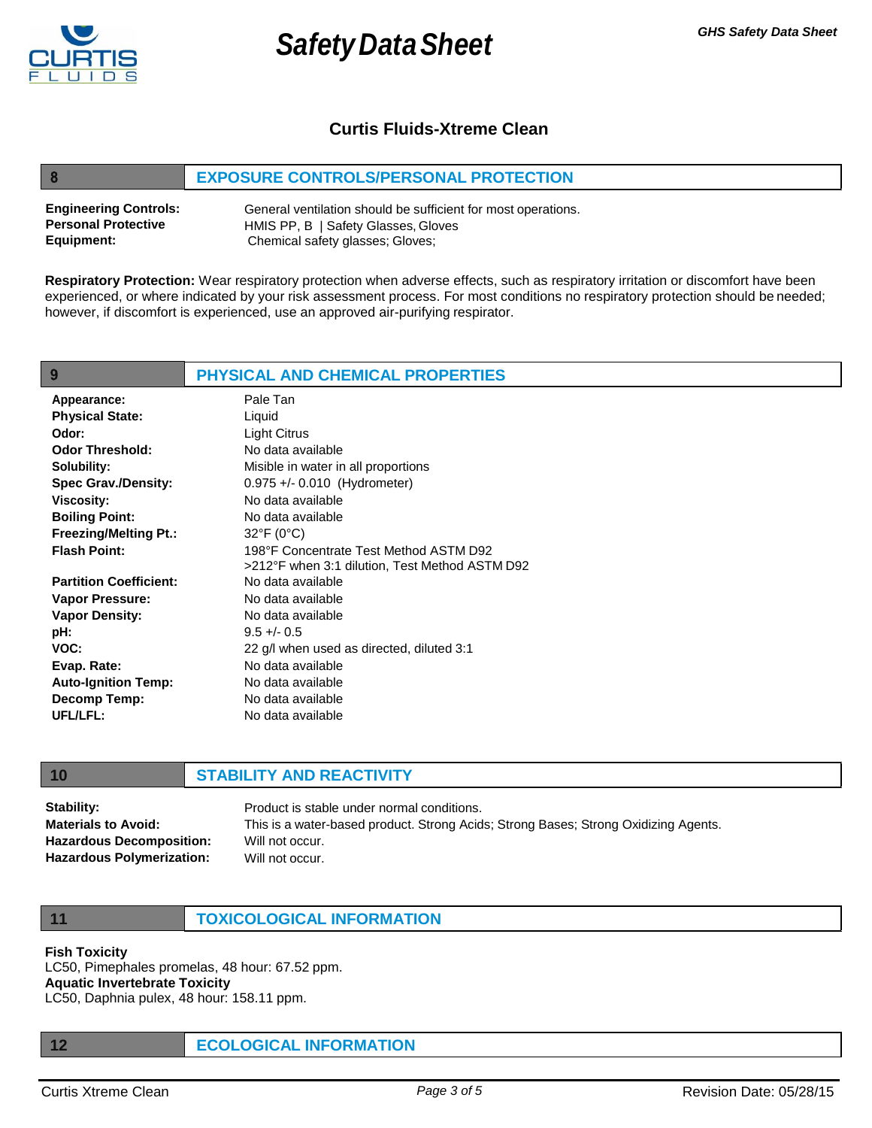

8

**Safety Data Sheet** *GHS Safety Data Sheet* 

# **Curtis Fluids-Xtreme Clean**

## **EXPOSURE CONTROLS/PERSONAL PROTECTION**

| <b>Engineering Controls:</b> | General ventilation should be sufficient for most operations. |
|------------------------------|---------------------------------------------------------------|
| <b>Personal Protective</b>   | HMIS PP, B   Safety Glasses, Gloves                           |
| Equipment:                   | Chemical safety glasses; Gloves;                              |

**Respiratory Protection:** Wear respiratory protection when adverse effects, such as respiratory irritation or discomfort have been experienced, or where indicated by your risk assessment process. For most conditions no respiratory protection should be needed; however, if discomfort is experienced, use an approved air-purifying respirator.

| 9                             | <b>PHYSICAL AND CHEMICAL PROPERTIES</b>        |
|-------------------------------|------------------------------------------------|
| Appearance:                   | Pale Tan                                       |
| <b>Physical State:</b>        | Liquid                                         |
| Odor:                         | <b>Light Citrus</b>                            |
| <b>Odor Threshold:</b>        | No data available                              |
| Solubility:                   | Misible in water in all proportions            |
| <b>Spec Grav./Density:</b>    | $0.975 +/- 0.010$ (Hydrometer)                 |
| <b>Viscosity:</b>             | No data available                              |
| <b>Boiling Point:</b>         | No data available                              |
| <b>Freezing/Melting Pt.:</b>  | $32^{\circ}F(0^{\circ}C)$                      |
| <b>Flash Point:</b>           | 198°F Concentrate Test Method ASTM D92         |
|                               | >212°F when 3:1 dilution, Test Method ASTM D92 |
| <b>Partition Coefficient:</b> | No data available                              |
| <b>Vapor Pressure:</b>        | No data available                              |
| <b>Vapor Density:</b>         | No data available                              |
| pH:                           | $9.5 + - 0.5$                                  |
| VOC:                          | 22 g/l when used as directed, diluted 3:1      |
| Evap. Rate:                   | No data available                              |
| <b>Auto-Ignition Temp:</b>    | No data available                              |
| <b>Decomp Temp:</b>           | No data available                              |
| UFL/LFL:                      | No data available                              |

#### **10 STABILITY AND REACTIVITY**

**Stability: Materials to Avoid: Hazardous Decomposition: Hazardous Polymerization:** Product is stable under normal conditions. This is a water-based product. Strong Acids; Strong Bases; Strong Oxidizing Agents. Will not occur. Will not occur.

**11 TOXICOLOGICAL INFORMATION**

#### **Fish Toxicity**

LC50, Pimephales promelas, 48 hour: 67.52 ppm. **Aquatic Invertebrate Toxicity** LC50, Daphnia pulex, 48 hour: 158.11 ppm.

**12 ECOLOGICAL INFORMATION**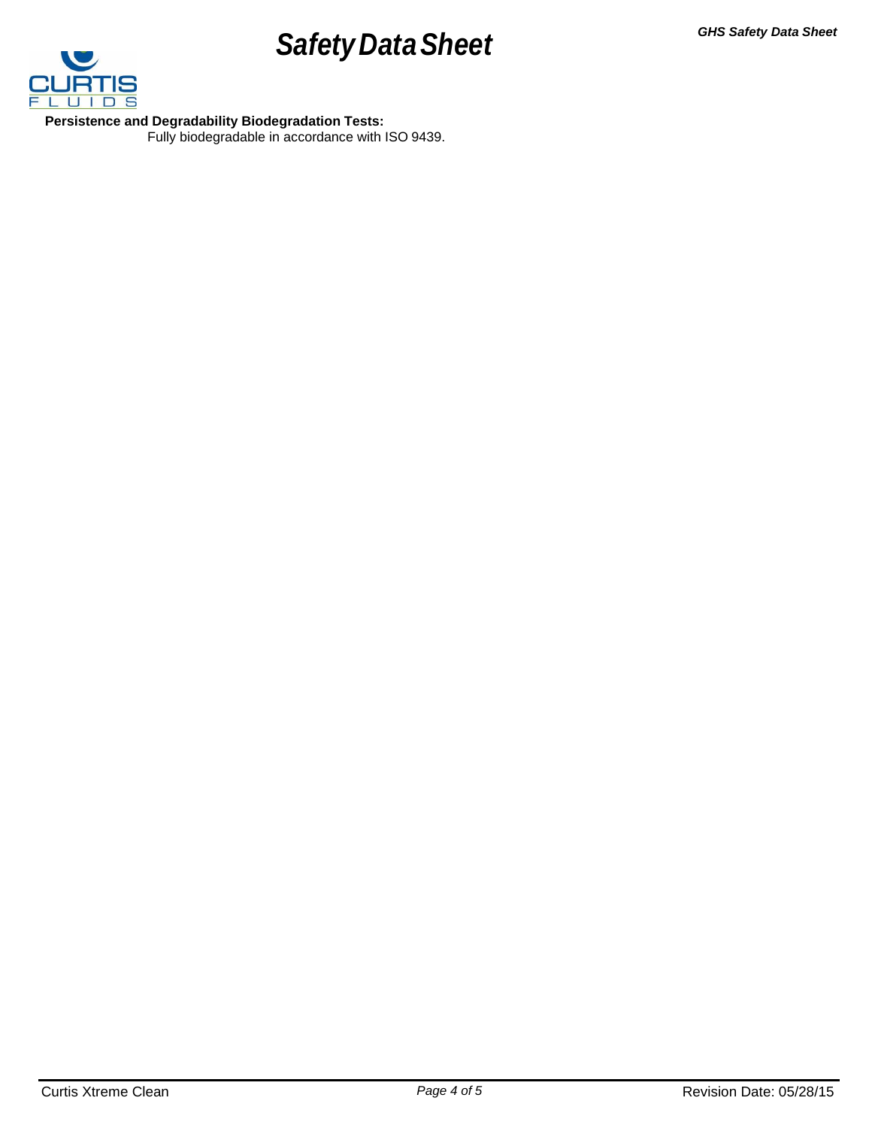# **Safety Data Sheet** *GHS Safety Data Sheet*



**Persistence and Degradability Biodegradation Tests:** Fully biodegradable in accordance with ISO 9439.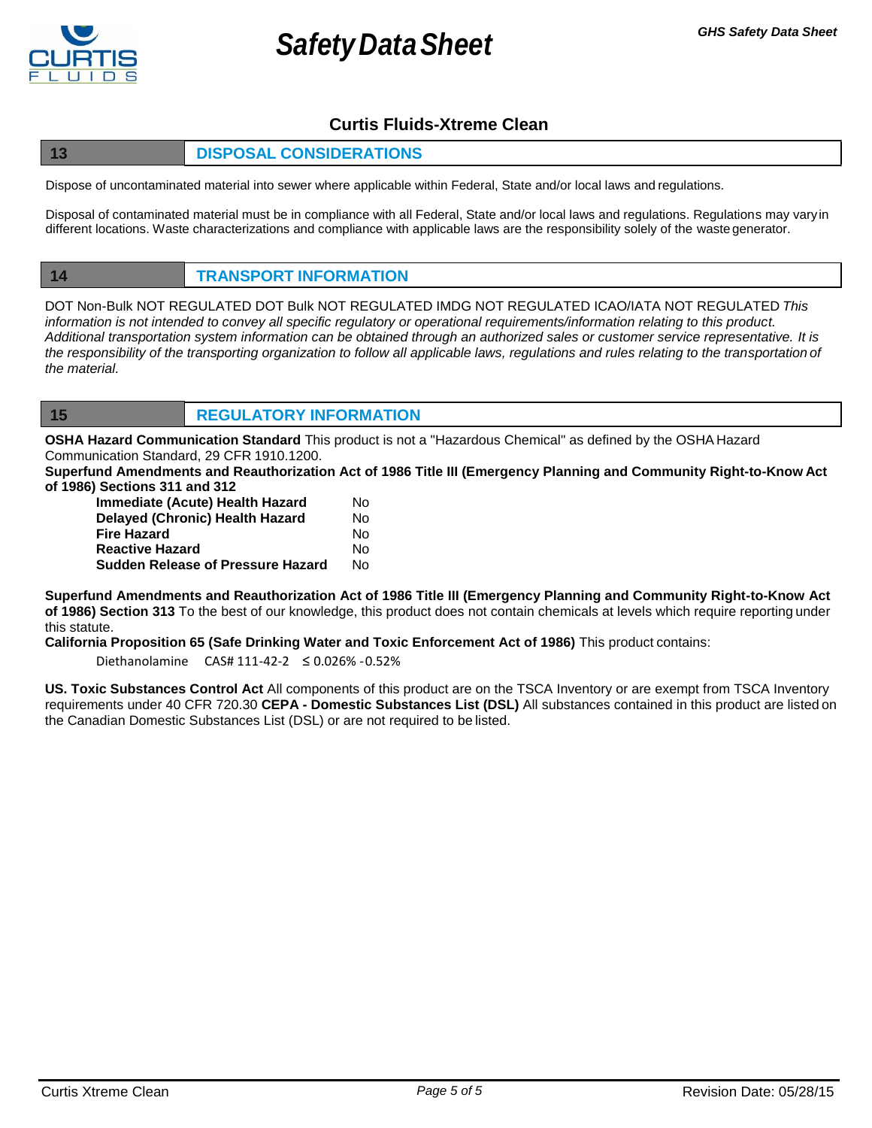

# **Curtis Fluids-Xtreme Clean**

# **13 DISPOSAL CONSIDERATIONS**

Dispose of uncontaminated material into sewer where applicable within Federal, State and/or local laws and regulations.

Disposal of contaminated material must be in compliance with all Federal, State and/or local laws and regulations. Regulations may varyin different locations. Waste characterizations and compliance with applicable laws are the responsibility solely of the waste generator.

# **14 TRANSPORT INFORMATION**

DOT Non-Bulk NOT REGULATED DOT Bulk NOT REGULATED IMDG NOT REGULATED ICAO/IATA NOT REGULATED *This information is not intended to convey all specific regulatory or operational requirements/information relating to this product. Additional transportation system information can be obtained through an authorized sales or customer service representative. It is the responsibility of the transporting organization to follow all applicable laws, regulations and rules relating to the transportation of the material.*

**15 REGULATORY INFORMATION**

**OSHA Hazard Communication Standard** This product is not a "Hazardous Chemical" as defined by the OSHA Hazard Communication Standard, 29 CFR 1910.1200.

**Superfund Amendments and Reauthorization Act of 1986 Title III (Emergency Planning and Community Right-to-Know Act of 1986) Sections 311 and 312**

| Immediate (Acute) Health Hazard          |    |
|------------------------------------------|----|
| Delayed (Chronic) Health Hazard          | Nο |
| Fire Hazard                              | N٥ |
| <b>Reactive Hazard</b>                   | N٥ |
| <b>Sudden Release of Pressure Hazard</b> | N٥ |

**Superfund Amendments and Reauthorization Act of 1986 Title III (Emergency Planning and Community Right-to-Know Act of 1986) Section 313** To the best of our knowledge, this product does not contain chemicals at levels which require reporting under this statute.

**California Proposition 65 (Safe Drinking Water and Toxic Enforcement Act of 1986)** This product contains:

Diethanolamine CAS# 111-42-2 ≤ 0.026% -0.52%

**US. Toxic Substances Control Act** All components of this product are on the TSCA Inventory or are exempt from TSCA Inventory requirements under 40 CFR 720.30 **CEPA - Domestic Substances List (DSL)** All substances contained in this product are listed on the Canadian Domestic Substances List (DSL) or are not required to be listed.